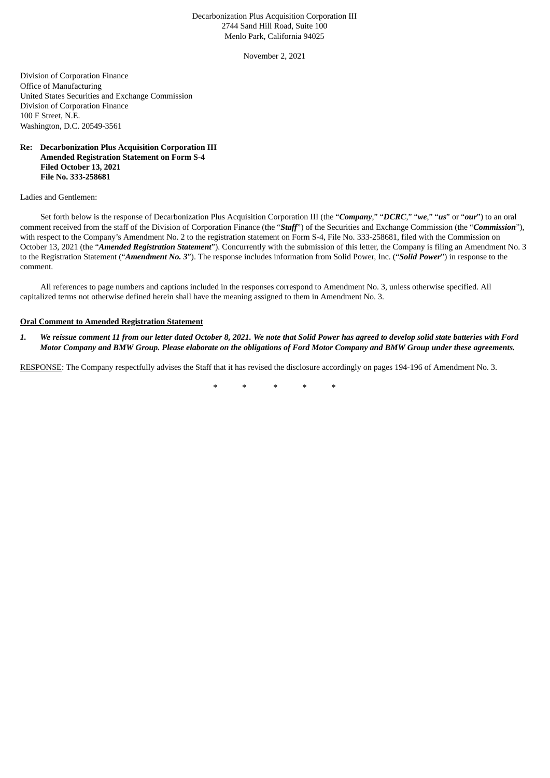## Decarbonization Plus Acquisition Corporation III 2744 Sand Hill Road, Suite 100 Menlo Park, California 94025

November 2, 2021

Division of Corporation Finance Office of Manufacturing United States Securities and Exchange Commission Division of Corporation Finance 100 F Street, N.E. Washington, D.C. 20549-3561

## **Re: Decarbonization Plus Acquisition Corporation III Amended Registration Statement on Form S-4 Filed October 13, 2021 File No. 333-258681**

Ladies and Gentlemen:

Set forth below is the response of Decarbonization Plus Acquisition Corporation III (the "*Company*," "*DCRC*," "*we*," "*us*" or "*our*") to an oral comment received from the staff of the Division of Corporation Finance (the "*Staff*") of the Securities and Exchange Commission (the "*Commission*"), with respect to the Company's Amendment No. 2 to the registration statement on Form S-4, File No. 333-258681, filed with the Commission on October 13, 2021 (the "*Amended Registration Statement*"). Concurrently with the submission of this letter, the Company is filing an Amendment No. 3 to the Registration Statement ("*Amendment No. 3*"). The response includes information from Solid Power, Inc. ("*Solid Power*") in response to the comment.

All references to page numbers and captions included in the responses correspond to Amendment No. 3, unless otherwise specified. All capitalized terms not otherwise defined herein shall have the meaning assigned to them in Amendment No. 3.

## **Oral Comment to Amended Registration Statement**

1. We reissue comment 11 from our letter dated October 8, 2021. We note that Solid Power has agreed to develop solid state batteries with Ford Motor Company and BMW Group. Please elaborate on the obligations of Ford Motor Company and BMW Group under these agreements.

RESPONSE: The Company respectfully advises the Staff that it has revised the disclosure accordingly on pages 194-196 of Amendment No. 3.

\* \* \* \* \*